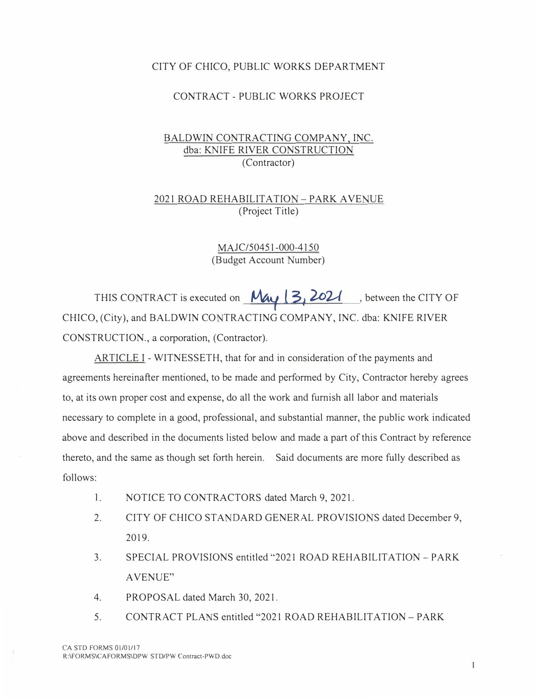#### CITY OF CHICO, PUBLIC WORKS DEPARTMENT

#### CONTRACT - PUBLIC WORKS PROJECT

## BALDWIN CONTRACTING COMPANY, INC. dba: KNIFE RIVER CONSTRUCTION (Contractor)

## 2021 ROAD REHABILITATION - PARK AVENUE (Project Title)

MAJC/50451-000-4150 (Budget Account Number)

THIS CONTRACT is executed on  $\frac{M_{41}}{3}$  (3, 2021 , between the CITY OF CHICO, (City), and BALDWIN CONTRACTING COMPANY, INC. dba: KNIFE RIVER CONSTRUCTION., a corporation, (Contractor).

ARTICLE I - WITNESSETH, that for and in consideration of the payments and agreements hereinafter mentioned, to be made and performed by City, Contractor hereby agrees to, at its own proper cost and expense, do all the work and furnish all labor and materials necessary to complete in a good, professional, and substantial manner, the public work indicated above and described in the documents listed below and made a part of this Contract by reference thereto, and the same as though set forth herein. Said documents are more fully described as follows:

- I. NOTICE TO CONTRACTORS dated March 9, 2021.
- 2.CITY OF CHICO STANDARD GENERAL PROVISIONS dated December 9, 2019.
- 3. SPECIAL PROVISIONS entitled "2021 ROAD REHABILITATION -PARK AVENUE"
- 4.PROPOSAL dated March 30, 2021.
- 5. CONTRACT PLANS entitled "2021 ROAD REHABILITATION PARK

 $\mathbf{1}$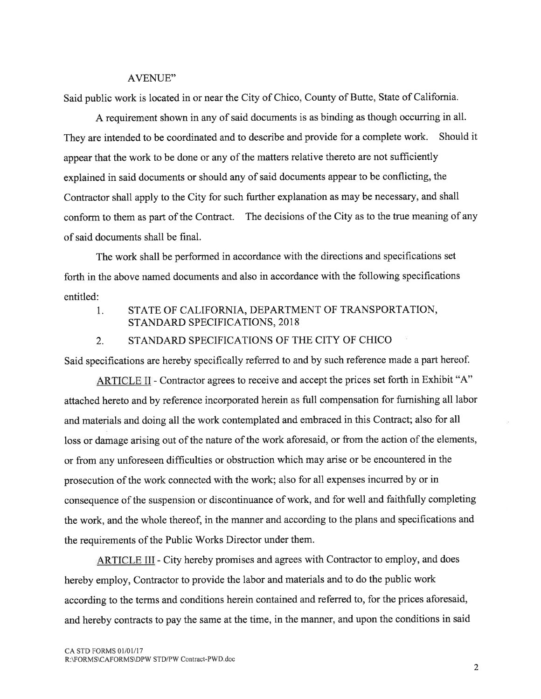#### **AVENUE"**

Said public work is located in or near the City of Chico, County of Butte, State of California.

A requirement shown in any of said documents is as binding as though occurring in all. They are intended to be coordinated and to describe and provide for a complete work. Should it appear that the work to be done or any of the matters relative thereto are not sufficiently explained in said documents or should any of said documents appear to be conflicting, the Contractor shall apply to the City for such further explanation as may be necessary, and shall conform to them as part of the Contract. The decisions of the City as to the true meaning of any of said documents shall be final.

The work shall be performed in accordance with the directions and specifications set forth in the above named documents and also in accordance with the following specifications entitled:

STATE OF CALIFORNIA, DEPARTMENT OF TRANSPORTATION,  $1<sub>1</sub>$ STANDARD SPECIFICATIONS, 2018

#### STANDARD SPECIFICATIONS OF THE CITY OF CHICO  $2.$

Said specifications are hereby specifically referred to and by such reference made a part hereof.

ARTICLE II - Contractor agrees to receive and accept the prices set forth in Exhibit "A" attached hereto and by reference incorporated herein as full compensation for furnishing all labor and materials and doing all the work contemplated and embraced in this Contract; also for all loss or damage arising out of the nature of the work aforesaid, or from the action of the elements, or from any unforeseen difficulties or obstruction which may arise or be encountered in the prosecution of the work connected with the work; also for all expenses incurred by or in consequence of the suspension or discontinuance of work, and for well and faithfully completing the work, and the whole thereof, in the manner and according to the plans and specifications and the requirements of the Public Works Director under them.

**ARTICLE III** - City hereby promises and agrees with Contractor to employ, and does hereby employ, Contractor to provide the labor and materials and to do the public work according to the terms and conditions herein contained and referred to, for the prices aforesaid, and hereby contracts to pay the same at the time, in the manner, and upon the conditions in said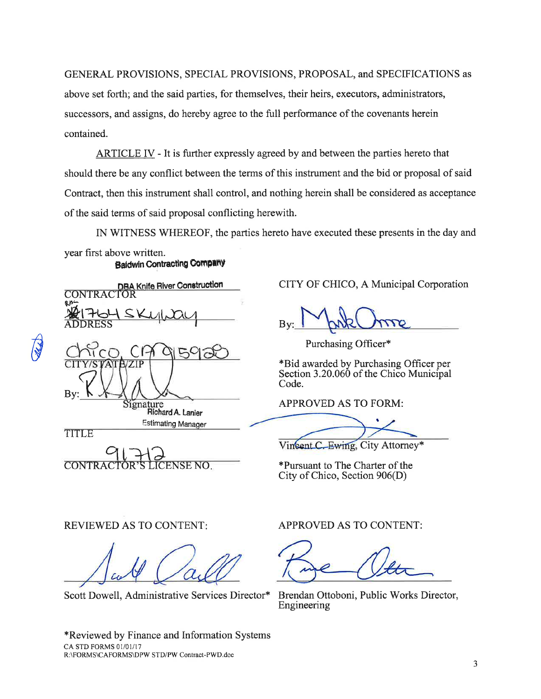GENERAL PROVISIONS, SPECIAL PROVISIONS, PROPOSAL, and SPECIFICATIONS as above set forth; and the said parties, for themselves, their heirs, executors, administrators,

successors, and assigns, do hereby agree to the full performance of the covenants herein contained.

ARTICLE IV - It is further expressly agreed by and between the parties hereto that should there be any conflict between the terms of this instrument and the bid or proposal of said Contract, then this instrument shall control, and nothing herein shall be considered as acceptance of the said terms of said proposal conflicting herewith.

IN WITNESS WHEREOF, the parties hereto have executed these presents in the day and

year first above written. **Baldwin Contracting Company** 

| DBA Knife River Construction               |
|--------------------------------------------|
| بنهه<br>1SKull<br><b>AOTASL</b><br>SODRESS |
| $C$ f-<br>By                               |
| Signature<br>Richard A. Lanier             |
| <b>Estimating Manager</b><br>-------       |

TITLE

**CONTRA ENSE NO** 

CITY OF CHICO, A Municipal Corporation

Purchasing Officer\*

\*Bid awarded by Purchasing Officer per Section 3.20.060 of the Chico Municipal Code.

**APPROVED AS TO FORM:** 

Vincent C. Ewing, City Attorney\*

\*Pursuant to The Charter of the City of Chico, Section 906(D)

## **REVIEWED AS TO CONTENT:**

Scott Dowell, Administrative Services Director\*

APPROVED AS TO CONTENT:

Brendan Ottoboni, Public Works Director, Engineering

\*Reviewed by Finance and Information Systems CA STD FORMS 01/01/17 R:\FORMS\CAFORMS\DPW STD/PW Contract-PWD.doc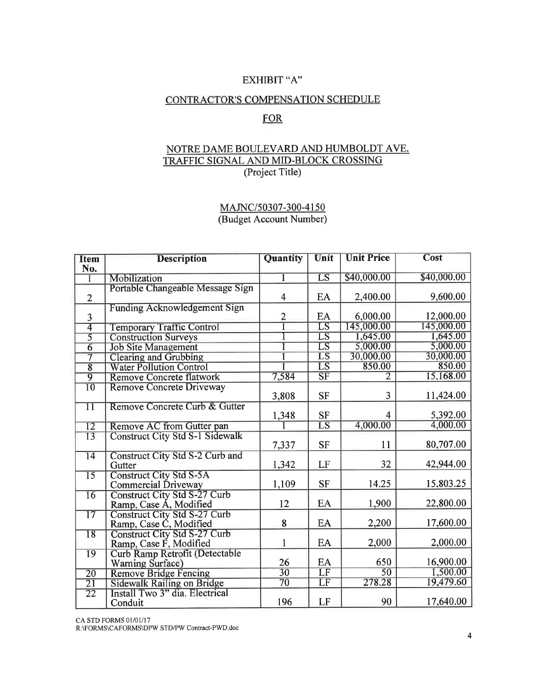## EXHIBIT "A"

#### CONTRACTOR'S COMPENSATION SCHEDULE

# **FOR**

## NOTRE DAME BOULEVARD AND HUMBOLDT AVE. TRAFFIC SIGNAL AND MID-BLOCK CROSSING (Project Title)

## MAJNC/50307-300-4150 (Budget Account Number)

| <b>Item</b><br>No.         | <b>Description</b>                                     | Quantity                | Unit                       | <b>Unit Price</b> | <b>Cost</b> |
|----------------------------|--------------------------------------------------------|-------------------------|----------------------------|-------------------|-------------|
|                            | Mobilization                                           |                         | $\overline{\text{LS}}$     | \$40,000.00       | \$40,000.00 |
|                            | Portable Changeable Message Sign                       |                         |                            |                   |             |
| $\overline{2}$             |                                                        | $\overline{\mathbf{4}}$ | EA                         | 2,400.00          | 9,600.00    |
|                            | <b>Funding Acknowledgement Sign</b>                    |                         |                            |                   |             |
| 3                          |                                                        | $\overline{2}$          | EA                         | 6,000.00          | 12,000.00   |
| $\overline{4}$             | <b>Temporary Traffic Control</b>                       |                         | $\overline{LS}$            | 145,000.00        | 145,000.00  |
| $\overline{5}$             | <b>Construction Surveys</b>                            |                         | $\overline{\text{LS}}$     | 1,645.00          | 1,645.00    |
| $\overline{6}$             | <b>Job Site Management</b>                             |                         | $\overline{\text{LS}}$     | 5,000.00          | 5,000.00    |
| $\overline{\tau}$          | <b>Clearing and Grubbing</b>                           |                         | LS                         | 30,000.00         | 30,000.00   |
| $\overline{8}$             | <b>Water Pollution Control</b>                         |                         | $\overline{\text{\rm LS}}$ | 850.00            | 850.00      |
| $\overline{9}$             | <b>Remove Concrete flatwork</b>                        | 7,584                   | $\overline{\text{SF}}$     | $\overline{2}$    | 15,168.00   |
| $\overline{10}$            | <b>Remove Concrete Driveway</b>                        | 3,808                   | <b>SF</b>                  | 3                 | 11,424.00   |
|                            | Remove Concrete Curb & Gutter                          |                         |                            |                   |             |
| $\overline{1}\overline{1}$ |                                                        | 1,348                   | <b>SF</b>                  | 4                 | 5,392.00    |
| $\overline{12}$            | Remove AC from Gutter pan                              |                         | $\overline{LS}$            | 4,000.00          | 4,000.00    |
| $\overline{13}$            | <b>Construct City Std S-1 Sidewalk</b>                 | 7,337                   | <b>SF</b>                  | 11                | 80,707.00   |
| $\overline{14}$            | Construct City Std S-2 Curb and                        |                         |                            |                   |             |
|                            | Gutter                                                 | 1,342                   | LF                         | 32                | 42,944.00   |
| $\overline{15}$            | <b>Construct City Std S-5A</b><br>Commercial Driveway  | 1,109                   | <b>SF</b>                  | 14.25             | 15,803.25   |
| $\overline{16}$            | Construct City Std S-27 Curb<br>Ramp, Case A, Modified | 12                      | EA                         | 1,900             | 22,800.00   |
| $\overline{17}$            | <b>Construct City Std S-27 Curb</b>                    |                         |                            |                   |             |
|                            | Ramp, Case C, Modified                                 | 8                       | EA                         | 2,200             | 17,600.00   |
| $\overline{18}$            | Construct City Std S-27 Curb                           |                         |                            |                   |             |
|                            | Ramp, Case F, Modified                                 | 1                       | EA                         | 2,000             | 2,000.00    |
| $\overline{19}$            | Curb Ramp Retrofit (Detectable<br>Warning Surface)     | 26                      | EA                         | 650               | 16,900.00   |
| $\overline{20}$            | <b>Remove Bridge Fencing</b>                           | $\overline{30}$         | $\overline{\rm LF}$        | $\overline{50}$   | 1,500.00    |
| $\overline{21}$            | Sidewalk Railing on Bridge                             | $\overline{70}$         | $\overline{\rm LF}$        | 278.28            | 19,479.60   |
| $\overline{22}$            | Install Two 3" dia. Electrical                         |                         |                            |                   |             |
|                            | Conduit                                                | 196                     | LF                         | 90                | 17,640.00   |

CA STD FORMS 01/01/17

R:\FORMS\CAFORMS\DPW STD/PW Contract-PWD doc